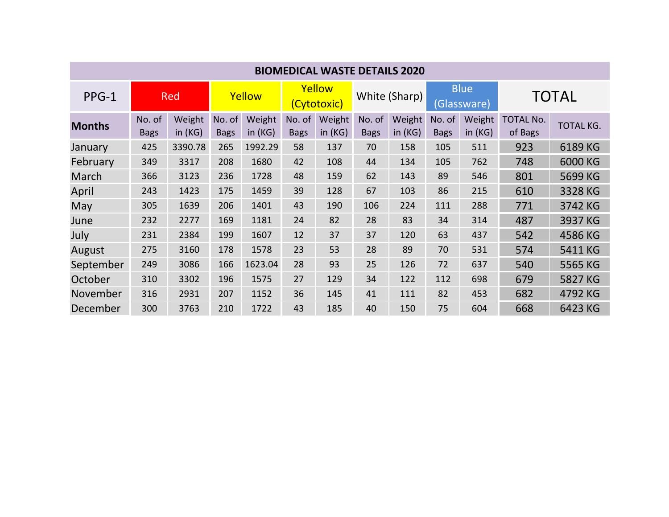| <b>BIOMEDICAL WASTE DETAILS 2020</b> |                       |                     |                       |                     |                       |                  |                       |                   |                            |                  |                             |           |
|--------------------------------------|-----------------------|---------------------|-----------------------|---------------------|-----------------------|------------------|-----------------------|-------------------|----------------------------|------------------|-----------------------------|-----------|
| PPG-1                                | <b>Red</b>            |                     | Yellow                |                     | Yellow<br>(Cytotoxic) |                  | White (Sharp)         |                   | <b>Blue</b><br>(Glassware) |                  | <b>TOTAL</b>                |           |
| <b>Months</b>                        | No. of<br><b>Bags</b> | Weight<br>in $(KG)$ | No. of<br><b>Bags</b> | Weight<br>in $(KG)$ | No. of<br><b>Bags</b> | Weight<br>in(KG) | No. of<br><b>Bags</b> | Weight<br>in (KG) | No. of<br><b>Bags</b>      | Weight<br>in(KG) | <b>TOTAL No.</b><br>of Bags | TOTAL KG. |
| January                              | 425                   | 3390.78             | 265                   | 1992.29             | 58                    | 137              | 70                    | 158               | 105                        | 511              | 923                         | 6189 KG   |
| February                             | 349                   | 3317                | 208                   | 1680                | 42                    | 108              | 44                    | 134               | 105                        | 762              | 748                         | 6000 KG   |
| March                                | 366                   | 3123                | 236                   | 1728                | 48                    | 159              | 62                    | 143               | 89                         | 546              | 801                         | 5699 KG   |
| April                                | 243                   | 1423                | 175                   | 1459                | 39                    | 128              | 67                    | 103               | 86                         | 215              | 610                         | 3328 KG   |
| May                                  | 305                   | 1639                | 206                   | 1401                | 43                    | 190              | 106                   | 224               | 111                        | 288              | 771                         | 3742 KG   |
| June                                 | 232                   | 2277                | 169                   | 1181                | 24                    | 82               | 28                    | 83                | 34                         | 314              | 487                         | 3937 KG   |
| July                                 | 231                   | 2384                | 199                   | 1607                | 12                    | 37               | 37                    | 120               | 63                         | 437              | 542                         | 4586 KG   |
| August                               | 275                   | 3160                | 178                   | 1578                | 23                    | 53               | 28                    | 89                | 70                         | 531              | 574                         | 5411 KG   |
| September                            | 249                   | 3086                | 166                   | 1623.04             | 28                    | 93               | 25                    | 126               | 72                         | 637              | 540                         | 5565 KG   |
| October                              | 310                   | 3302                | 196                   | 1575                | 27                    | 129              | 34                    | 122               | 112                        | 698              | 679                         | 5827 KG   |
| November                             | 316                   | 2931                | 207                   | 1152                | 36                    | 145              | 41                    | 111               | 82                         | 453              | 682                         | 4792 KG   |
| December                             | 300                   | 3763                | 210                   | 1722                | 43                    | 185              | 40                    | 150               | 75                         | 604              | 668                         | 6423 KG   |